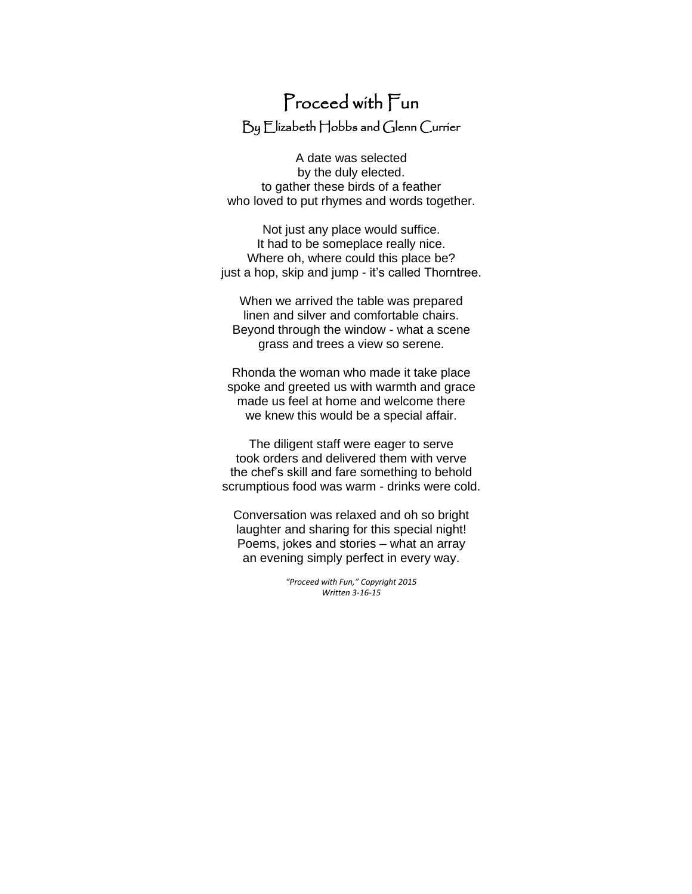## Proceed with Fun By Elizabeth Hobbs and Glenn Currier

A date was selected by the duly elected. to gather these birds of a feather who loved to put rhymes and words together.

Not just any place would suffice. It had to be someplace really nice. Where oh, where could this place be? just a hop, skip and jump - it's called Thorntree.

When we arrived the table was prepared linen and silver and comfortable chairs. Beyond through the window - what a scene grass and trees a view so serene.

Rhonda the woman who made it take place spoke and greeted us with warmth and grace made us feel at home and welcome there we knew this would be a special affair.

The diligent staff were eager to serve took orders and delivered them with verve the chef's skill and fare something to behold scrumptious food was warm - drinks were cold.

Conversation was relaxed and oh so bright laughter and sharing for this special night! Poems, jokes and stories – what an array an evening simply perfect in every way.

> *"Proceed with Fun," Copyright 2015 Written 3-16-15*